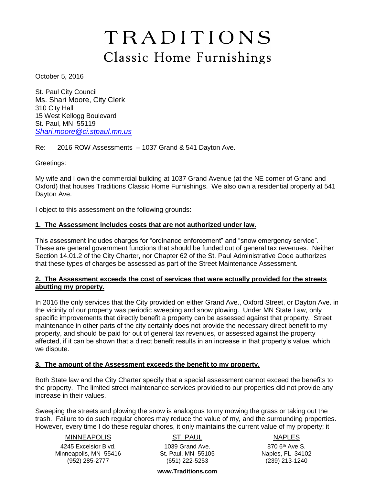# TRADITIONS Classic Home Furnishings

October 5, 2016

St. Paul City Council Ms. Shari Moore, City Clerk 310 City Hall 15 West Kellogg Boulevard St. Paul, MN 55119 *[Shari.moore@ci.stpaul.mn.us](mailto:Shari.moore@ci.stpaul.mn.us)*

Re: 2016 ROW Assessments – 1037 Grand & 541 Dayton Ave.

Greetings:

My wife and I own the commercial building at 1037 Grand Avenue (at the NE corner of Grand and Oxford) that houses Traditions Classic Home Furnishings. We also own a residential property at 541 Dayton Ave.

I object to this assessment on the following grounds:

# **1. The Assessment includes costs that are not authorized under law.**

This assessment includes charges for "ordinance enforcement" and "snow emergency service". These are general government functions that should be funded out of general tax revenues. Neither Section 14.01.2 of the City Charter, nor Chapter 62 of the St. Paul Administrative Code authorizes that these types of charges be assessed as part of the Street Maintenance Assessment.

# **2. The Assessment exceeds the cost of services that were actually provided for the streets abutting my property.**

In 2016 the only services that the City provided on either Grand Ave., Oxford Street, or Dayton Ave. in the vicinity of our property was periodic sweeping and snow plowing. Under MN State Law, only specific improvements that directly benefit a property can be assessed against that property. Street maintenance in other parts of the city certainly does not provide the necessary direct benefit to my property, and should be paid for out of general tax revenues, or assessed against the property affected, if it can be shown that a direct benefit results in an increase in that property's value, which we dispute.

#### **3. The amount of the Assessment exceeds the benefit to my property.**

Both State law and the City Charter specify that a special assessment cannot exceed the benefits to the property. The limited street maintenance services provided to our properties did not provide any increase in their values.

Sweeping the streets and plowing the snow is analogous to my mowing the grass or taking out the trash. Failure to do such regular chores may reduce the value of my, and the surrounding properties. However, every time I do these regular chores, it only maintains the current value of my property; it

# MINNEAPOLIS

4245 Excelsior Blvd. Minneapolis, MN 55416 (952) 285-2777

ST. PAUL 1039 Grand Ave. St. Paul, MN 55105 (651) 222-5253

NAPLES

870 6th Ave S. Naples, FL 34102 (239) 213-1240

**www.Traditions.com**